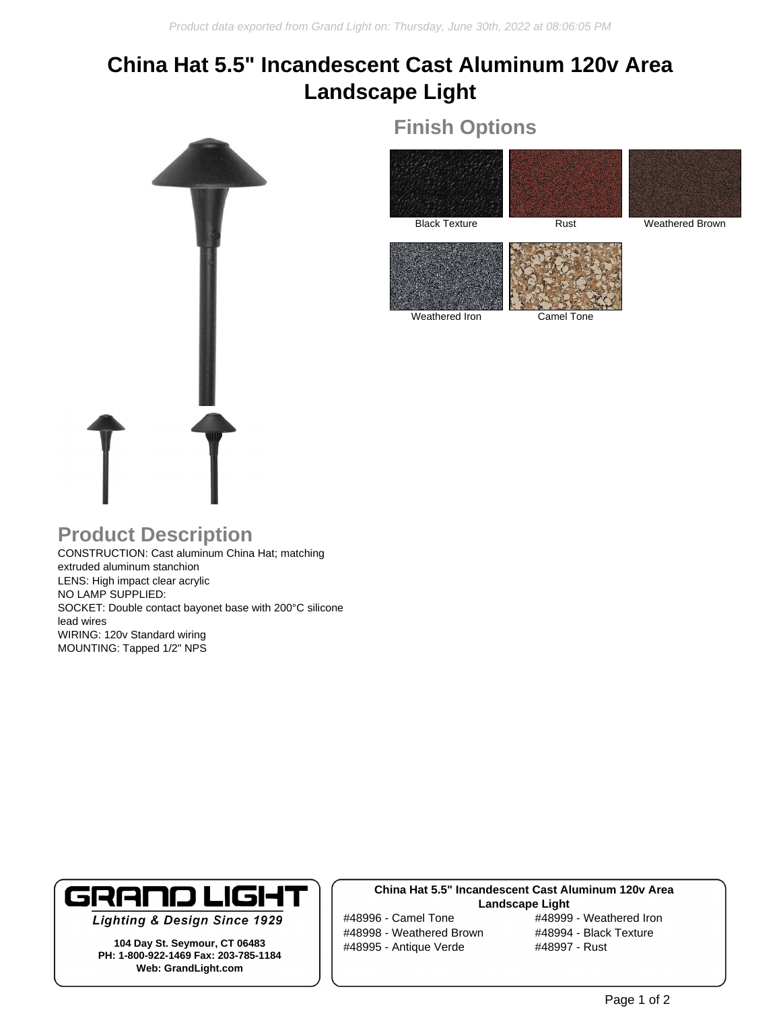# **China Hat 5.5" Incandescent Cast Aluminum 120v Area Landscape Light**



# Black Texture Rust Rust Weathered Brown

**Finish Options**

Weathered Iron Camel Tone

### **Product Description**

CONSTRUCTION: Cast aluminum China Hat; matching extruded aluminum stanchion LENS: High impact clear acrylic NO LAMP SUPPLIED: SOCKET: Double contact bayonet base with 200°C silicone lead wires WIRING: 120v Standard wiring MOUNTING: Tapped 1/2" NPS



**Lighting & Design Since 1929** 

**104 Day St. Seymour, CT 06483 PH: 1-800-922-1469 Fax: 203-785-1184 Web: GrandLight.com**

#### **China Hat 5.5" Incandescent Cast Aluminum 120v Area Landscape Light**

#48998 - Weathered Brown #48994 - Black Texture #48995 - Antique Verde #48997 - Rust

#48996 - Camel Tone #48999 - Weathered Iron